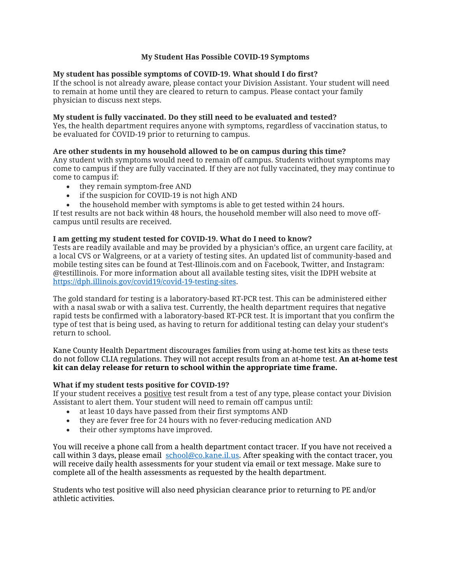# **My Student Has Possible COVID-19 Symptoms**

## **My student has possible symptoms of COVID-19. What should I do first?**

If the school is not already aware, please contact your Division Assistant. Your student will need to remain at home until they are cleared to return to campus. Please contact your family physician to discuss next steps.

## **My student is fully vaccinated. Do they still need to be evaluated and tested?**

Yes, the health department requires anyone with symptoms, regardless of vaccination status, to be evaluated for COVID-19 prior to returning to campus.

## **Are other students in my household allowed to be on campus during this time?**

Any student with symptoms would need to remain off campus. Students without symptoms may come to campus if they are fully vaccinated. If they are not fully vaccinated, they may continue to come to campus if:

- they remain symptom-free AND
- if the suspicion for COVID-19 is not high AND
- the household member with symptoms is able to get tested within 24 hours.

If test results are not back within 48 hours, the household member will also need to move offcampus until results are received.

### **I am getting my student tested for COVID-19. What do I need to know?**

Tests are readily available and may be provided by a physician's office, an urgent care facility, at a local CVS or Walgreens, or at a variety of testing sites. An updated list of community-based and mobile testing sites can be found at Test-Illinois.com and on Facebook, Twitter, and Instagram: @testillinois. For more information about all available testing sites, visit the IDPH website at [https://dph.illinois.gov/covid19/covid-19-testing-sites.](https://dph.illinois.gov/covid19/covid-19-testing-sites)

The gold standard for testing is a laboratory-based RT-PCR test. This can be administered either with a nasal swab or with a saliva test. Currently, the health department requires that negative rapid tests be confirmed with a laboratory-based RT-PCR test. It is important that you confirm the type of test that is being used, as having to return for additional testing can delay your student's return to school.

Kane County Health Department discourages families from using at-home test kits as these tests do not follow CLIA regulations. They will not accept results from an at-home test. **An at-home test kit can delay release for return to school within the appropriate time frame.**

### **What if my student tests positive for COVID-19?**

If your student receives a positive test result from a test of any type, please contact your Division Assistant to alert them. Your student will need to remain off campus until:

- at least 10 days have passed from their first symptoms AND
- they are fever free for 24 hours with no fever-reducing medication AND
- their other symptoms have improved.

You will receive a phone call from a health department contact tracer. If you have not received a call within 3 days, please email  $\frac{\text{school@co.kane}$ .il.us. After speaking with the contact tracer, you will receive daily health assessments for your student via email or text message. Make sure to complete all of the health assessments as requested by the health department.

Students who test positive will also need physician clearance prior to returning to PE and/or athletic activities.